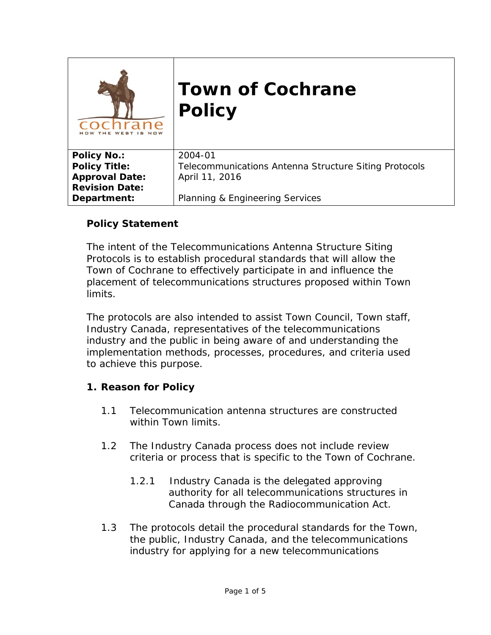| WEST                  | <b>Town of Cochrane</b><br><b>Policy</b>              |
|-----------------------|-------------------------------------------------------|
| <b>Policy No.:</b>    | 2004-01                                               |
| <b>Policy Title:</b>  | Telecommunications Antenna Structure Siting Protocols |
| <b>Approval Date:</b> | April 11, 2016                                        |
| <b>Revision Date:</b> |                                                       |
| Department:           | Planning & Engineering Services                       |

#### **Policy Statement**

The intent of the Telecommunications Antenna Structure Siting Protocols is to establish procedural standards that will allow the Town of Cochrane to effectively participate in and influence the placement of telecommunications structures proposed within Town limits.

The protocols are also intended to assist Town Council, Town staff, Industry Canada, representatives of the telecommunications industry and the public in being aware of and understanding the implementation methods, processes, procedures, and criteria used to achieve this purpose.

#### **1. Reason for Policy**

- 1.1 Telecommunication antenna structures are constructed within Town limits.
- 1.2 The Industry Canada process does not include review criteria or process that is specific to the Town of Cochrane.
	- 1.2.1 Industry Canada is the delegated approving authority for all telecommunications structures in Canada through the *Radiocommunication Act*.
- 1.3 The protocols detail the procedural standards for the Town, the public, Industry Canada, and the telecommunications industry for applying for a new telecommunications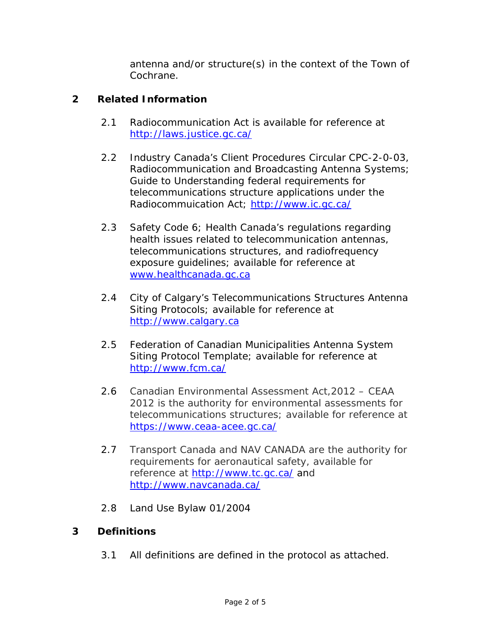antenna and/or structure(s) in the context of the Town of Cochrane.

#### **2 Related Information**

- 2.1 *Radiocommunication Act* is available for reference at [http://laws.justice.gc.ca/](http://laws.justice.gc.ca/eng/acts/R-2/FullText.html)
- 2.2 Industry Canada's Client Procedures Circular CPC-2-0-03, Radiocommunication and Broadcasting Antenna Systems; Guide to Understanding federal requirements for telecommunications structure applications under the *Radiocommuication Act*; [http://www.ic.gc.ca/](http://www.ic.gc.ca/eic/site/smt-gst.nsf/eng/sf08777.html)
- 2.3 Safety Code 6; Health Canada's regulations regarding health issues related to telecommunication antennas, telecommunications structures, and radiofrequency exposure guidelines; available for reference at [www.healthcanada.gc.ca](http://www.healthcanada.gc.ca/)
- 2.4 City of Calgary's Telecommunications Structures Antenna Siting Protocols; available for reference at [http://www.calgary.ca](http://www.calgary.ca/)
- 2.5 Federation of Canadian Municipalities Antenna System Siting Protocol Template; available for reference at <http://www.fcm.ca/>
- 2.6 Canadian Environmental Assessment Act,2012 CEAA 2012 is the authority for environmental assessments for telecommunications structures; available for reference at [https://www.ceaa-acee.gc.ca/](https://www.ceaa-acee.gc.ca/default.asp?lang=en&n=16254939-1)
- 2.7 Transport Canada and NAV CANADA are the authority for requirements for aeronautical safety, available for reference at<http://www.tc.gc.ca/> and <http://www.navcanada.ca/>
- 2.8 Land Use Bylaw 01/2004

#### **3 Definitions**

3.1 All definitions are defined in the protocol as attached.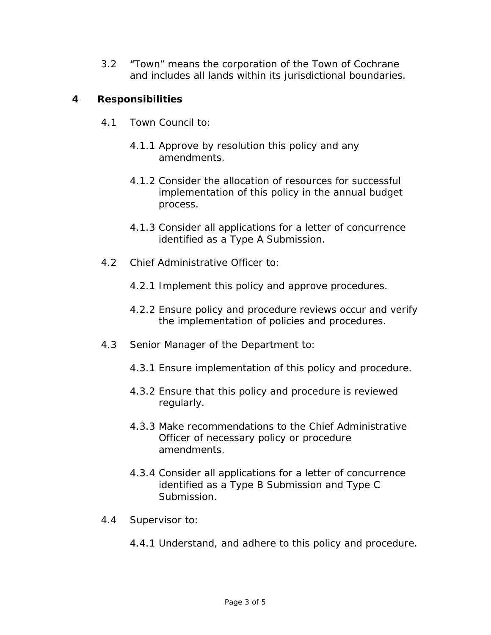3.2 "Town" means the corporation of the Town of Cochrane and includes all lands within its jurisdictional boundaries.

#### **4 Responsibilities**

- 4.1 Town Council to:
	- 4.1.1 Approve by resolution this policy and any amendments.
	- 4.1.2 Consider the allocation of resources for successful implementation of this policy in the annual budget process.
	- 4.1.3 Consider all applications for a letter of concurrence identified as a Type A Submission.
- 4.2 Chief Administrative Officer to:
	- 4.2.1 Implement this policy and approve procedures.
	- 4.2.2 Ensure policy and procedure reviews occur and verify the implementation of policies and procedures.
- 4.3 Senior Manager of the Department to:
	- 4.3.1 Ensure implementation of this policy and procedure.
	- 4.3.2 Ensure that this policy and procedure is reviewed regularly.
	- 4.3.3 Make recommendations to the Chief Administrative Officer of necessary policy or procedure amendments.
	- 4.3.4 Consider all applications for a letter of concurrence identified as a Type B Submission and Type C Submission.
- 4.4 Supervisor to:
	- 4.4.1 Understand, and adhere to this policy and procedure.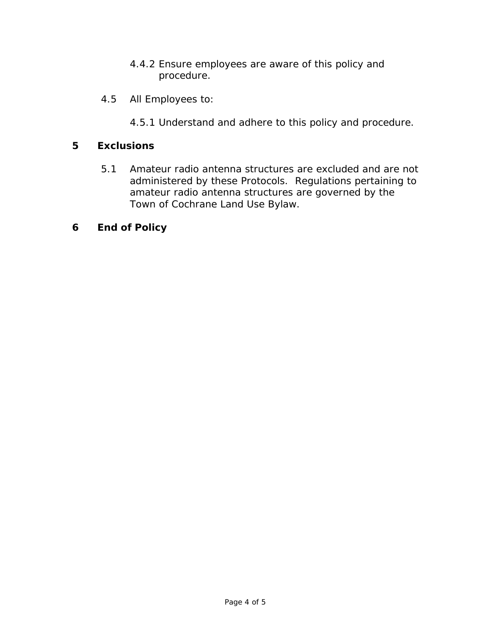- 4.4.2 Ensure employees are aware of this policy and procedure.
- 4.5 All Employees to:
	- 4.5.1 Understand and adhere to this policy and procedure.

#### **5 Exclusions**

5.1 Amateur radio antenna structures are excluded and are not administered by these Protocols. Regulations pertaining to amateur radio antenna structures are governed by the Town of Cochrane Land Use Bylaw.

#### **6 End of Policy**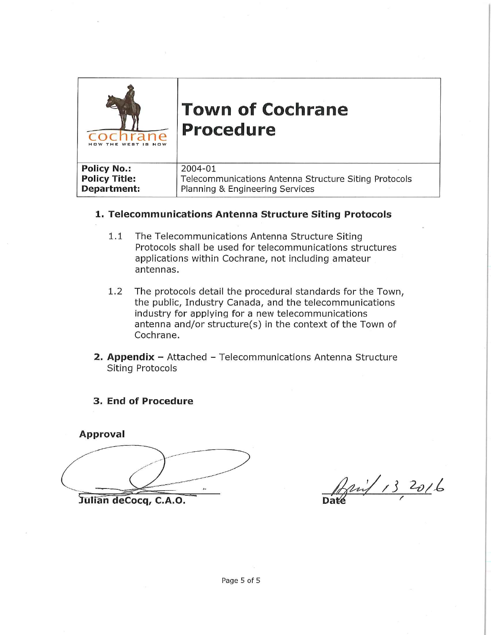

# **Town of Cochrane Procedure**

| <b>Policy No.:</b>   | 2004-01                                               |
|----------------------|-------------------------------------------------------|
| <b>Policy Title:</b> | Telecommunications Antenna Structure Siting Protocols |
| Department:          | Planning & Engineering Services                       |

#### 1. Telecommunications Antenna Structure Siting Protocols

- $1.1$ The Telecommunications Antenna Structure Siting Protocols shall be used for telecommunications structures applications within Cochrane, not including amateur antennas.
- $1.2$ The protocols detail the procedural standards for the Town, the public, Industry Canada, and the telecommunications industry for applying for a new telecommunications antenna and/or structure(s) in the context of the Town of Cochrane.
- 2. Appendix Attached Telecommunications Antenna Structure **Siting Protocols**

#### 3. End of Procedure

**Approval** Julian deCocq, C.A.O.

David 13 2016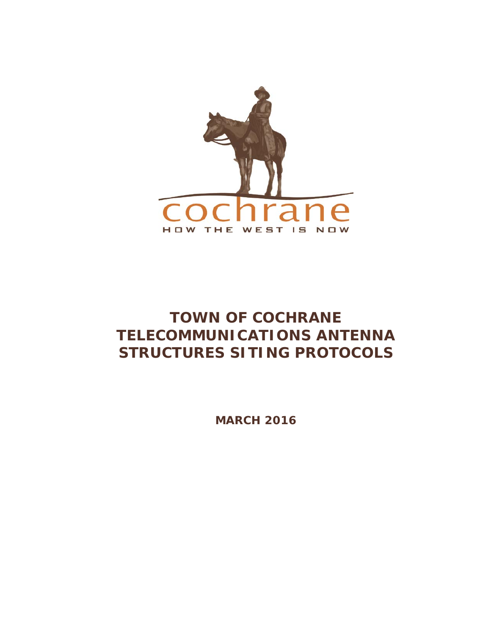

# **TOWN OF COCHRANE TELECOMMUNICATIONS ANTENNA STRUCTURES SITING PROTOCOLS**

**MARCH 2016**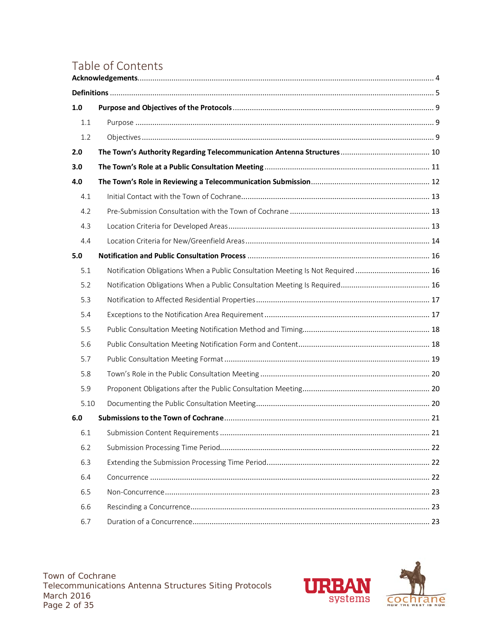# Table of Contents

| 1.0  |                                                                                 |  |
|------|---------------------------------------------------------------------------------|--|
| 1.1  |                                                                                 |  |
| 1.2  |                                                                                 |  |
| 2.0  |                                                                                 |  |
| 3.0  |                                                                                 |  |
| 4.0  |                                                                                 |  |
| 4.1  |                                                                                 |  |
| 4.2  |                                                                                 |  |
| 4.3  |                                                                                 |  |
| 4.4  |                                                                                 |  |
| 5.0  |                                                                                 |  |
| 5.1  | Notification Obligations When a Public Consultation Meeting Is Not Required  16 |  |
| 5.2  |                                                                                 |  |
| 5.3  |                                                                                 |  |
| 5.4  |                                                                                 |  |
| 5.5  |                                                                                 |  |
| 5.6  |                                                                                 |  |
| 5.7  |                                                                                 |  |
| 5.8  |                                                                                 |  |
| 5.9  |                                                                                 |  |
| 5.10 |                                                                                 |  |
| 6.0  |                                                                                 |  |
| 6.1  |                                                                                 |  |
| 6.2  |                                                                                 |  |
| 6.3  |                                                                                 |  |
| 6.4  |                                                                                 |  |
| 6.5  |                                                                                 |  |
| 6.6  |                                                                                 |  |
| 6.7  |                                                                                 |  |
|      |                                                                                 |  |

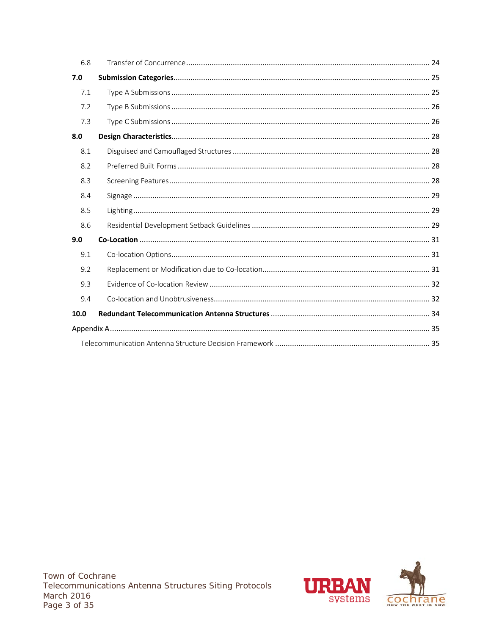| 6.8  |  |
|------|--|
| 7.0  |  |
| 7.1  |  |
| 7.2  |  |
| 7.3  |  |
| 8.0  |  |
| 8.1  |  |
| 8.2  |  |
| 8.3  |  |
| 8.4  |  |
| 8.5  |  |
| 8.6  |  |
| 9.0  |  |
| 9.1  |  |
| 9.2  |  |
| 9.3  |  |
| 9.4  |  |
| 10.0 |  |
|      |  |
|      |  |

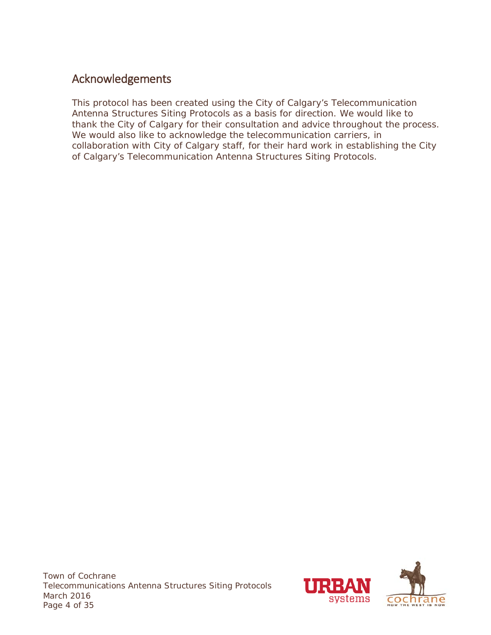# <span id="page-8-0"></span>Acknowledgements

This protocol has been created using the City of Calgary's Telecommunication Antenna Structures Siting Protocols as a basis for direction. We would like to thank the City of Calgary for their consultation and advice throughout the process. We would also like to acknowledge the telecommunication carriers, in collaboration with City of Calgary staff, for their hard work in establishing the City of Calgary's Telecommunication Antenna Structures Siting Protocols.

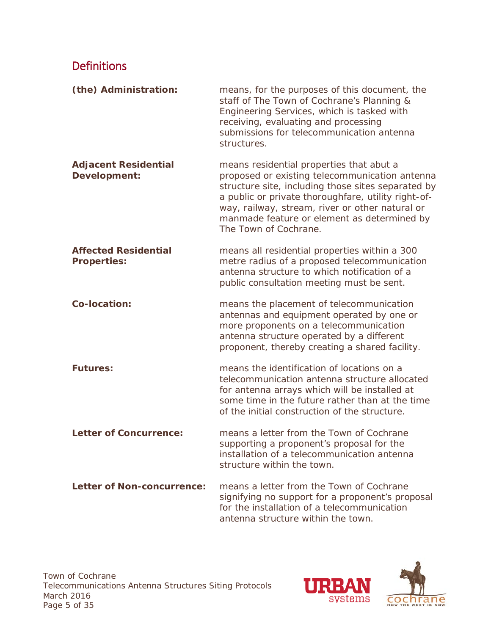# <span id="page-9-0"></span>Definitions

| (the) Administration:                             | means, for the purposes of this document, the<br>staff of The Town of Cochrane's Planning &<br>Engineering Services, which is tasked with<br>receiving, evaluating and processing<br>submissions for telecommunication antenna<br>structures.                                                                                      |
|---------------------------------------------------|------------------------------------------------------------------------------------------------------------------------------------------------------------------------------------------------------------------------------------------------------------------------------------------------------------------------------------|
| <b>Adjacent Residential</b><br>Development:       | means residential properties that abut a<br>proposed or existing telecommunication antenna<br>structure site, including those sites separated by<br>a public or private thoroughfare, utility right-of-<br>way, railway, stream, river or other natural or<br>manmade feature or element as determined by<br>The Town of Cochrane. |
| <b>Affected Residential</b><br><b>Properties:</b> | means all residential properties within a 300<br>metre radius of a proposed telecommunication<br>antenna structure to which notification of a<br>public consultation meeting must be sent.                                                                                                                                         |
| Co-location:                                      | means the placement of telecommunication<br>antennas and equipment operated by one or<br>more proponents on a telecommunication<br>antenna structure operated by a different<br>proponent, thereby creating a shared facility.                                                                                                     |
| <b>Futures:</b>                                   | means the identification of locations on a<br>telecommunication antenna structure allocated<br>for antenna arrays which will be installed at<br>some time in the future rather than at the time<br>of the initial construction of the structure.                                                                                   |
| <b>Letter of Concurrence:</b>                     | means a letter from the Town of Cochrane<br>supporting a proponent's proposal for the<br>installation of a telecommunication antenna<br>structure within the town.                                                                                                                                                                 |
| <b>Letter of Non-concurrence:</b>                 | means a letter from the Town of Cochrane<br>signifying no support for a proponent's proposal<br>for the installation of a telecommunication<br>antenna structure within the town.                                                                                                                                                  |

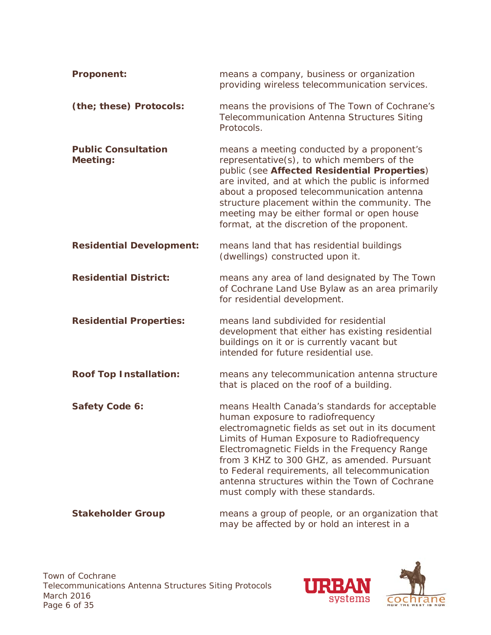| <b>Proponent:</b>                             | means a company, business or organization<br>providing wireless telecommunication services.                                                                                                                                                                                                                                                                                                                                    |
|-----------------------------------------------|--------------------------------------------------------------------------------------------------------------------------------------------------------------------------------------------------------------------------------------------------------------------------------------------------------------------------------------------------------------------------------------------------------------------------------|
| (the; these) Protocols:                       | means the provisions of The Town of Cochrane's<br><b>Telecommunication Antenna Structures Siting</b><br>Protocols.                                                                                                                                                                                                                                                                                                             |
| <b>Public Consultation</b><br><b>Meeting:</b> | means a meeting conducted by a proponent's<br>representative(s), to which members of the<br>public (see Affected Residential Properties)<br>are invited, and at which the public is informed<br>about a proposed telecommunication antenna<br>structure placement within the community. The<br>meeting may be either formal or open house<br>format, at the discretion of the proponent.                                       |
| <b>Residential Development:</b>               | means land that has residential buildings<br>(dwellings) constructed upon it.                                                                                                                                                                                                                                                                                                                                                  |
| <b>Residential District:</b>                  | means any area of land designated by The Town<br>of Cochrane Land Use Bylaw as an area primarily<br>for residential development.                                                                                                                                                                                                                                                                                               |
| <b>Residential Properties:</b>                | means land subdivided for residential<br>development that either has existing residential<br>buildings on it or is currently vacant but<br>intended for future residential use.                                                                                                                                                                                                                                                |
| <b>Roof Top Installation:</b>                 | means any telecommunication antenna structure<br>that is placed on the roof of a building.                                                                                                                                                                                                                                                                                                                                     |
| Safety Code 6:                                | means Health Canada's standards for acceptable<br>human exposure to radiofrequency<br>electromagnetic fields as set out in its document<br>Limits of Human Exposure to Radiofrequency<br>Electromagnetic Fields in the Frequency Range<br>from 3 KHZ to 300 GHZ, as amended. Pursuant<br>to Federal requirements, all telecommunication<br>antenna structures within the Town of Cochrane<br>must comply with these standards. |
| <b>Stakeholder Group</b>                      | means a group of people, or an organization that<br>may be affected by or hold an interest in a                                                                                                                                                                                                                                                                                                                                |

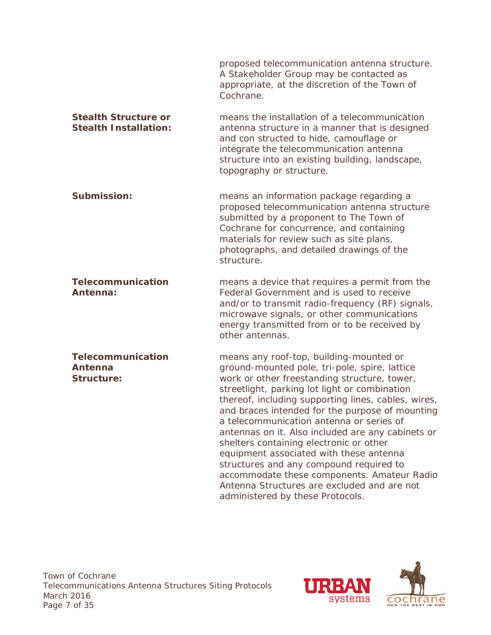proposed telecommunication antenna structure. A Stakeholder Group may be contacted as appropriate, at the discretion of the Town of Cochrane. *Stealth Structure or Stealth Installation:* means the installation of a telecommunication antenna structure in a manner that is designed and con structed to hide, camouflage or integrate the telecommunication antenna structure into an existing building, landscape, topography or structure. **Submission:** means an information package regarding a proposed telecommunication antenna structure submitted by a proponent to The Town of Cochrane for concurrence, and containing materials for review such as site plans, photographs, and detailed drawings of the structure. *Telecommunication Antenna:* means a device that requires a permit from the Federal Government and is used to receive and/or to transmit radio-frequency (RF) signals, microwave signals, or other communications energy transmitted from or to be received by other antennas. *Telecommunication Antenna Structure:* means any roof-top, building-mounted or ground-mounted pole, tri-pole, spire, lattice work or other freestanding structure, tower, streetlight, parking lot light or combination thereof, including supporting lines, cables, wires, and braces intended for the purpose of mounting a telecommunication antenna or series of antennas on it. Also included are any cabinets or shelters containing electronic or other equipment associated with these antenna structures and any compound required to accommodate these components. Amateur Radio



Antenna Structures are excluded and are not

administered by these Protocols.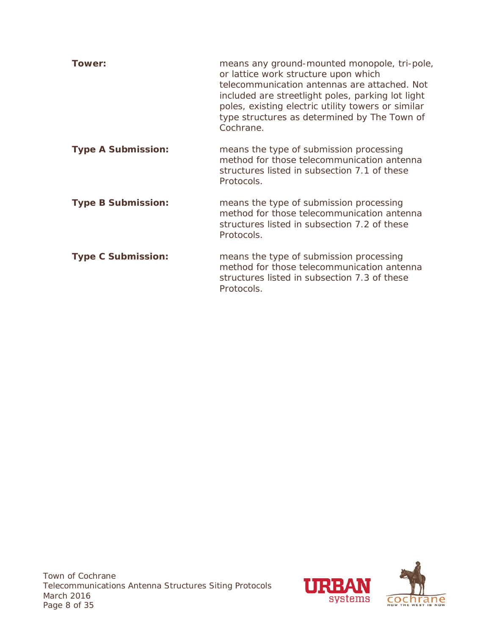| Tower:                    | means any ground-mounted monopole, tri-pole,<br>or lattice work structure upon which<br>telecommunication antennas are attached. Not<br>included are streetlight poles, parking lot light<br>poles, existing electric utility towers or similar<br>type structures as determined by The Town of<br>Cochrane. |
|---------------------------|--------------------------------------------------------------------------------------------------------------------------------------------------------------------------------------------------------------------------------------------------------------------------------------------------------------|
| <b>Type A Submission:</b> | means the type of submission processing<br>method for those telecommunication antenna<br>structures listed in subsection 7.1 of these<br>Protocols.                                                                                                                                                          |
| <b>Type B Submission:</b> | means the type of submission processing<br>method for those telecommunication antenna<br>structures listed in subsection 7.2 of these<br>Protocols.                                                                                                                                                          |
| <b>Type C Submission:</b> | means the type of submission processing<br>method for those telecommunication antenna<br>structures listed in subsection 7.3 of these<br>Protocols.                                                                                                                                                          |

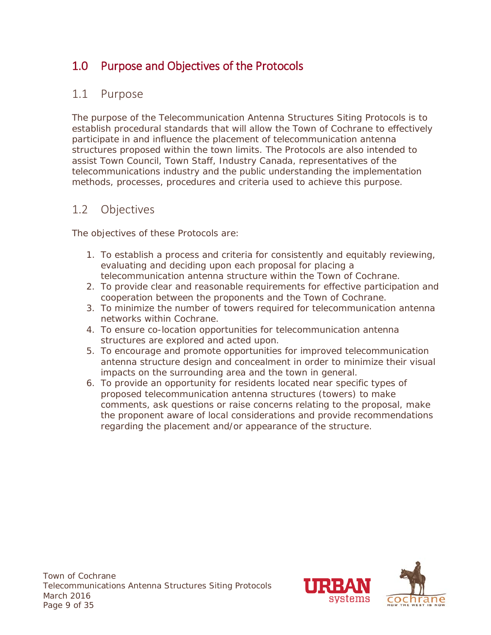# <span id="page-13-0"></span>1.0 Purpose and Objectives of the Protocols

#### <span id="page-13-1"></span>1.1 Purpose

The purpose of the Telecommunication Antenna Structures Siting Protocols is to establish procedural standards that will allow the Town of Cochrane to effectively participate in and influence the placement of telecommunication antenna structures proposed within the town limits. The Protocols are also intended to assist Town Council, Town Staff, Industry Canada, representatives of the telecommunications industry and the public understanding the implementation methods, processes, procedures and criteria used to achieve this purpose.

#### <span id="page-13-2"></span>1.2 Objectives

The objectives of these Protocols are:

- 1. To establish a process and criteria for consistently and equitably reviewing, evaluating and deciding upon each proposal for placing a telecommunication antenna structure within the Town of Cochrane.
- 2. To provide clear and reasonable requirements for effective participation and cooperation between the proponents and the Town of Cochrane.
- 3. To minimize the number of towers required for telecommunication antenna networks within Cochrane.
- 4. To ensure co-location opportunities for telecommunication antenna structures are explored and acted upon.
- 5. To encourage and promote opportunities for improved telecommunication antenna structure design and concealment in order to minimize their visual impacts on the surrounding area and the town in general.
- 6. To provide an opportunity for residents located near specific types of proposed telecommunication antenna structures (towers) to make comments, ask questions or raise concerns relating to the proposal, make the proponent aware of local considerations and provide recommendations regarding the placement and/or appearance of the structure.

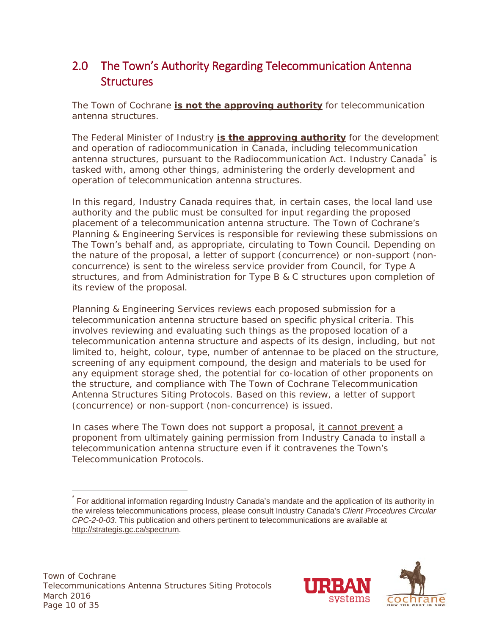# <span id="page-14-0"></span>2.0 The Town's Authority Regarding Telecommunication Antenna **Structures**

The Town of Cochrane **is not the approving authority** for telecommunication antenna structures.

The Federal Minister of Industry **is the approving authority** for the development and operation of radiocommunication in Canada, including telecommunication antenna structures, pursuant to the *Radiocommunication Act*. Industry Canada<sup>[\\*](#page-14-1)</sup> is tasked with, among other things, administering the orderly development and operation of telecommunication antenna structures.

In this regard, Industry Canada requires that, in certain cases, the local land use authority and the public must be consulted for input regarding the proposed placement of a telecommunication antenna structure. The Town of Cochrane's Planning & Engineering Services is responsible for reviewing these submissions on The Town's behalf and, as appropriate, circulating to Town Council. Depending on the nature of the proposal, a letter of support (concurrence) or non-support (nonconcurrence) is sent to the wireless service provider from Council, for Type A structures, and from Administration for Type B & C structures upon completion of its review of the proposal.

Planning & Engineering Services reviews each proposed submission for a telecommunication antenna structure based on specific physical criteria. This involves reviewing and evaluating such things as the proposed location of a telecommunication antenna structure and aspects of its design, including, but not limited to, height, colour, type, number of antennae to be placed on the structure, screening of any equipment compound, the design and materials to be used for any equipment storage shed, the potential for co-location of other proponents on the structure, and compliance with *The Town of Cochrane Telecommunication Antenna Structures Siting Protocols*. Based on this review, a letter of support (concurrence) or non-support (non-concurrence) is issued.

In cases where The Town does not support a proposal, it cannot prevent a proponent from ultimately gaining permission from Industry Canada to install a telecommunication antenna structure even if it contravenes the Town's Telecommunication Protocols.



<span id="page-14-1"></span>For additional information regarding Industry Canada's mandate and the application of its authority in the wireless telecommunications process, please consult Industry Canada's *Client Procedures Circular CPC-2-0-03*. This publication and others pertinent to telecommunications are available at [http://strategis.gc.ca/spectrum.](http://strategis.gc.ca/spectrum)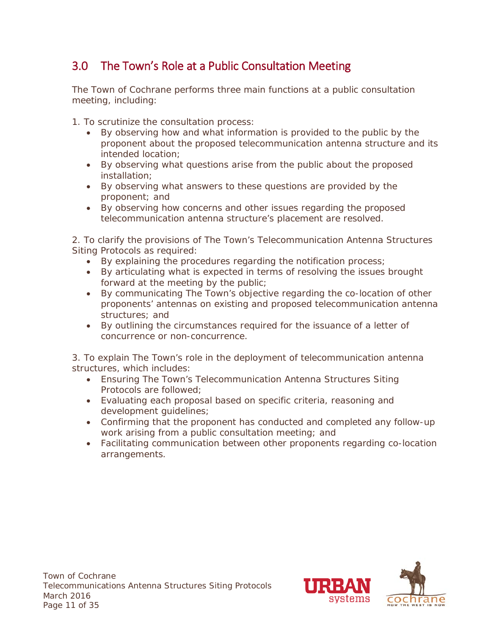# <span id="page-15-0"></span>3.0 The Town's Role at a Public Consultation Meeting

The Town of Cochrane performs three main functions at a public consultation meeting, including:

1. To scrutinize the consultation process:

- By observing how and what information is provided to the public by the proponent about the proposed telecommunication antenna structure and its intended location;
- By observing what questions arise from the public about the proposed installation;
- By observing what answers to these questions are provided by the proponent; and
- By observing how concerns and other issues regarding the proposed telecommunication antenna structure's placement are resolved.

2. To clarify the provisions of The Town's *Telecommunication Antenna Structures Siting Protocols* as required:

- By explaining the procedures regarding the notification process;
- By articulating what is expected in terms of resolving the issues brought forward at the meeting by the public;
- By communicating The Town's objective regarding the co-location of other proponents' antennas on existing and proposed telecommunication antenna structures; and
- By outlining the circumstances required for the issuance of a letter of concurrence or non-concurrence.

3. To explain The Town's role in the deployment of telecommunication antenna structures, which includes:

- Ensuring The Town's *Telecommunication Antenna Structures Siting Protocols* are followed;
- Evaluating each proposal based on specific criteria, reasoning and development guidelines;
- Confirming that the proponent has conducted and completed any follow-up work arising from a public consultation meeting; and
- Facilitating communication between other proponents regarding co-location arrangements.

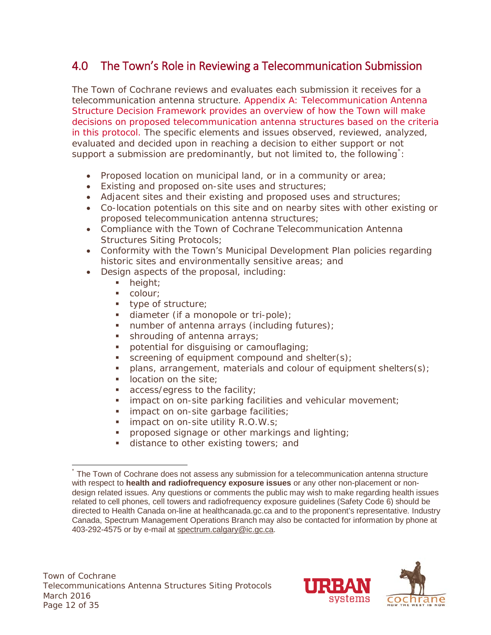# <span id="page-16-0"></span>4.0 The Town's Role in Reviewing a Telecommunication Submission

The Town of Cochrane reviews and evaluates each submission it receives for a telecommunication antenna structure. *Appendix A: Telecommunication Antenna Structure Decision Framework* provides an overview of how the Town will make decisions on proposed telecommunication antenna structures based on the criteria in this protocol. The specific elements and issues observed, reviewed, analyzed, evaluated and decided upon in reaching a decision to either support or not support a submission are predominantly, but not limited to, the following<sup>[\\*](#page-16-1)</sup>:

- Proposed location on municipal land, or in a community or area;
- Existing and proposed on-site uses and structures;
- Adjacent sites and their existing and proposed uses and structures;
- Co-location potentials on this site and on nearby sites with other existing or proposed telecommunication antenna structures;
- Compliance with the Town of Cochrane Telecommunication Antenna Structures Siting Protocols;
- Conformity with the Town's Municipal Development Plan policies regarding historic sites and environmentally sensitive areas; and
- Design aspects of the proposal, including:
	- height;
	- colour:
	- **type of structure;**
	- diameter (if a monopole or tri-pole);
	- $\blacksquare$  number of antenna arrays (including futures);
	- **shrouding of antenna arrays;**
	- potential for disguising or camouflaging;
	- screening of equipment compound and shelter(s);
	- $\blacksquare$  plans, arrangement, materials and colour of equipment shelters(s);
	- **IDECATED 10 IDEC IDEC I**
	- **access/egress to the facility;**
	- **impact on on-site parking facilities and vehicular movement;**
	- **impact on on-site garbage facilities;**
	- $\blacksquare$  impact on on-site utility R.O.W.s;
	- **•** proposed signage or other markings and lighting;
	- distance to other existing towers; and



<span id="page-16-1"></span>The Town of Cochrane does not assess any submission for a telecommunication antenna structure with respect to **health and radiofrequency exposure issues** or any other non-placement or nondesign related issues. Any questions or comments the public may wish to make regarding health issues related to cell phones, cell towers and radiofrequency exposure guidelines (Safety Code 6) should be directed to Health Canada on-line at healthcanada.gc.ca and to the proponent's representative. Industry Canada, Spectrum Management Operations Branch may also be contacted for information by phone at 403-292-4575 or by e-mail at [spectrum.calgary@ic.gc.ca.](mailto:spectrum.calgary@ic.gc.ca)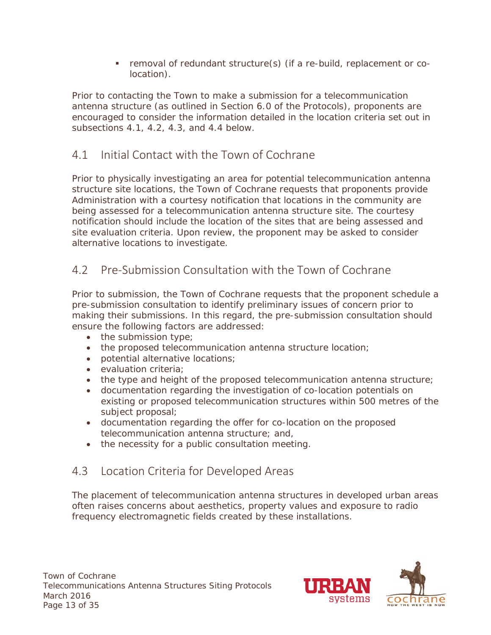removal of redundant structure(s) (if a re-build, replacement or colocation).

Prior to contacting the Town to make a submission for a telecommunication antenna structure (as outlined in Section 6.0 of the Protocols), proponents are encouraged to consider the information detailed in the location criteria set out in subsections 4.1, 4.2, 4.3, and 4.4 below.

## <span id="page-17-0"></span>4.1 Initial Contact with the Town of Cochrane

Prior to physically investigating an area for potential telecommunication antenna structure site locations, the Town of Cochrane requests that proponents provide Administration with a courtesy notification that locations in the community are being assessed for a telecommunication antenna structure site. The courtesy notification should include the location of the sites that are being assessed and site evaluation criteria. Upon review, the proponent may be asked to consider alternative locations to investigate.

# <span id="page-17-1"></span>4.2 Pre-Submission Consultation with the Town of Cochrane

Prior to submission, the Town of Cochrane requests that the proponent schedule a pre-submission consultation to identify preliminary issues of concern prior to making their submissions. In this regard, the pre-submission consultation should ensure the following factors are addressed:

- the submission type;
- the proposed telecommunication antenna structure location;
- potential alternative locations;
- evaluation criteria;
- the type and height of the proposed telecommunication antenna structure;
- documentation regarding the investigation of co-location potentials on existing or proposed telecommunication structures within 500 metres of the subject proposal;
- documentation regarding the offer for co-location on the proposed telecommunication antenna structure; and,
- the necessity for a public consultation meeting.

#### <span id="page-17-2"></span>4.3 Location Criteria for Developed Areas

The placement of telecommunication antenna structures in developed urban areas often raises concerns about aesthetics, property values and exposure to radio frequency electromagnetic fields created by these installations.

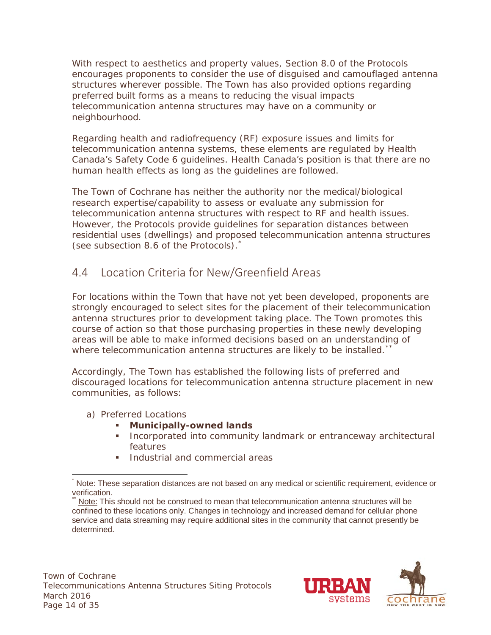With respect to aesthetics and property values, Section 8.0 of the Protocols encourages proponents to consider the use of disguised and camouflaged antenna structures wherever possible. The Town has also provided options regarding preferred built forms as a means to reducing the visual impacts telecommunication antenna structures may have on a community or neighbourhood.

Regarding health and radiofrequency (RF) exposure issues and limits for telecommunication antenna systems, these elements are regulated by Health Canada's Safety Code 6 guidelines. Health Canada's position is that there are no human health effects as long as the guidelines are followed.

The Town of Cochrane has neither the authority nor the medical/biological research expertise/capability to assess or evaluate any submission for telecommunication antenna structures with respect to RF and health issues. However, the Protocols provide guidelines for separation distances between residential uses (dwellings) and proposed telecommunication antenna structures (see subsection 8.6 of the Protocols).[\\*](#page-18-1)

# <span id="page-18-0"></span>4.4 Location Criteria for New/Greenfield Areas

For locations within the Town that have not yet been developed, proponents are strongly encouraged to select sites for the placement of their telecommunication antenna structures prior to development taking place. The Town promotes this course of action so that those purchasing properties in these newly developing areas will be able to make informed decisions based on an understanding of where telecommunication antenna structures are likely to be installed. $*$ 

Accordingly, The Town has established the following lists of preferred and discouraged locations for telecommunication antenna structure placement in new communities, as follows:

- a) Preferred Locations
	- **Municipally-owned lands**
	- Incorporated into community landmark or entranceway architectural features
	- Industrial and commercial areas



<span id="page-18-1"></span>Note: These separation distances are not based on any medical or scientific requirement, evidence or verification.

<span id="page-18-2"></span>Note: This should not be construed to mean that telecommunication antenna structures will be confined to these locations only. Changes in technology and increased demand for cellular phone service and data streaming may require additional sites in the community that cannot presently be determined.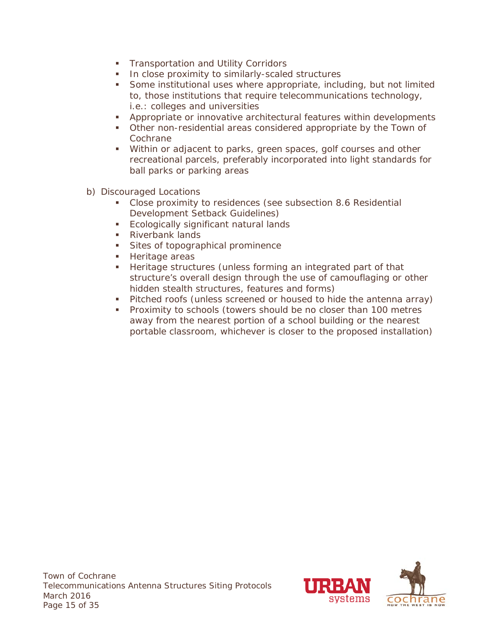- **Transportation and Utility Corridors**
- **IF In close proximity to similarly-scaled structures**
- Some institutional uses where appropriate, including, but not limited to, those institutions that require telecommunications technology, i.e.: colleges and universities
- Appropriate or innovative architectural features within developments
- Other non-residential areas considered appropriate by the Town of **Cochrane**
- Within or adjacent to parks, green spaces, golf courses and other recreational parcels, preferably incorporated into light standards for ball parks or parking areas
- b) Discouraged Locations
	- Close proximity to residences (see subsection 8.6 Residential Development Setback Guidelines)
	- **Ecologically significant natural lands**
	- Riverbank lands
	- **Sites of topographical prominence**
	- **Heritage areas**
	- Heritage structures (unless forming an integrated part of that structure's overall design through the use of camouflaging or other hidden stealth structures, features and forms)
	- **Pitched roofs (unless screened or housed to hide the antenna array)**
	- **Proximity to schools (towers should be no closer than 100 metres** away from the nearest portion of a school building or the nearest portable classroom, whichever is closer to the proposed installation)

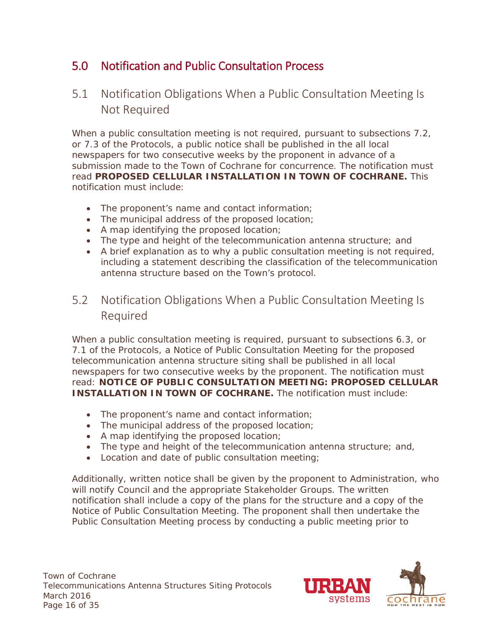# <span id="page-20-0"></span>5.0 Notification and Public Consultation Process

# <span id="page-20-1"></span>5.1 Notification Obligations When a Public Consultation Meeting Is Not Required

When a public consultation meeting is not required, pursuant to subsections 7.2, or 7.3 of the Protocols, a public notice shall be published in the all local newspapers for two consecutive weeks by the proponent in advance of a submission made to the Town of Cochrane for concurrence. The notification must read **PROPOSED CELLULAR INSTALLATION IN TOWN OF COCHRANE.** This notification must include:

- The proponent's name and contact information;
- The municipal address of the proposed location;
- A map identifying the proposed location;
- The type and height of the telecommunication antenna structure; and
- A brief explanation as to why a public consultation meeting is not required, including a statement describing the classification of the telecommunication antenna structure based on the Town's protocol.

## <span id="page-20-2"></span>5.2 Notification Obligations When a Public Consultation Meeting Is Required

When a public consultation meeting is required, pursuant to subsections 6.3, or 7.1 of the Protocols, a Notice of Public Consultation Meeting for the proposed telecommunication antenna structure siting shall be published in all local newspapers for two consecutive weeks by the proponent. The notification must read: **NOTICE OF PUBLIC CONSULTATION MEETING: PROPOSED CELLULAR INSTALLATION IN TOWN OF COCHRANE.** The notification must include:

- The proponent's name and contact information;
- The municipal address of the proposed location;
- A map identifying the proposed location;
- The type and height of the telecommunication antenna structure; and,
- Location and date of public consultation meeting;

Additionally, written notice shall be given by the proponent to Administration, who will notify Council and the appropriate Stakeholder Groups. The written notification shall include a copy of the plans for the structure and a copy of the Notice of Public Consultation Meeting. The proponent shall then undertake the Public Consultation Meeting process by conducting a public meeting prior to

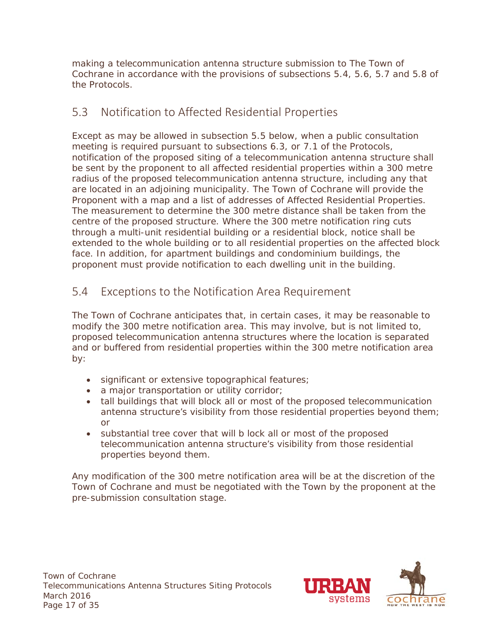making a telecommunication antenna structure submission to The Town of Cochrane in accordance with the provisions of subsections 5.4, 5.6, 5.7 and 5.8 of the Protocols.

# <span id="page-21-0"></span>5.3 Notification to Affected Residential Properties

Except as may be allowed in subsection 5.5 below, when a public consultation meeting is required pursuant to subsections 6.3, or 7.1 of the Protocols, notification of the proposed siting of a telecommunication antenna structure shall be sent by the proponent to all affected residential properties within a 300 metre radius of the proposed telecommunication antenna structure, including any that are located in an adjoining municipality. The Town of Cochrane will provide the Proponent with a map and a list of addresses of Affected Residential Properties. The measurement to determine the 300 metre distance shall be taken from the centre of the proposed structure. Where the 300 metre notification ring cuts through a multi-unit residential building or a residential block, notice shall be extended to the whole building or to all residential properties on the affected block face. In addition, for apartment buildings and condominium buildings, the proponent must provide notification to each dwelling unit in the building.

# <span id="page-21-1"></span>5.4 Exceptions to the Notification Area Requirement

The Town of Cochrane anticipates that, in certain cases, it may be reasonable to modify the 300 metre notification area. This may involve, but is not limited to, proposed telecommunication antenna structures where the location is separated and or buffered from residential properties within the 300 metre notification area by:

- significant or extensive topographical features;
- a major transportation or utility corridor;
- tall buildings that will block all or most of the proposed telecommunication antenna structure's visibility from those residential properties beyond them; or
- substantial tree cover that will b lock all or most of the proposed telecommunication antenna structure's visibility from those residential properties beyond them.

Any modification of the 300 metre notification area will be at the discretion of the Town of Cochrane and must be negotiated with the Town by the proponent at the pre-submission consultation stage.

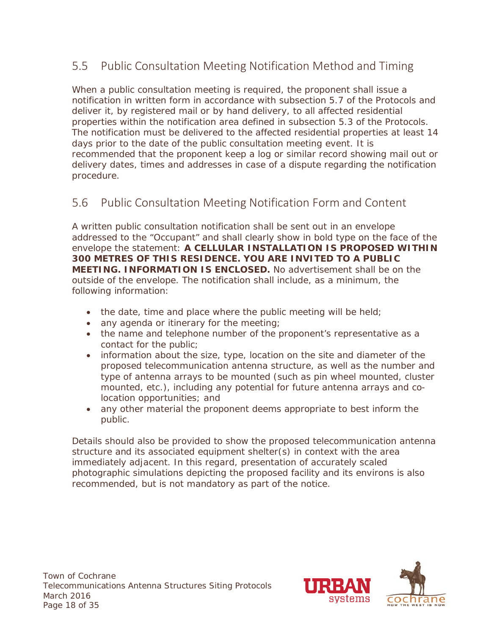# <span id="page-22-0"></span>5.5 Public Consultation Meeting Notification Method and Timing

When a public consultation meeting is required, the proponent shall issue a notification in written form in accordance with subsection 5.7 of the Protocols and deliver it, by registered mail or by hand delivery, to all affected residential properties within the notification area defined in subsection 5.3 of the Protocols. The notification must be delivered to the affected residential properties at least 14 days prior to the date of the public consultation meeting event. It is recommended that the proponent keep a log or similar record showing mail out or delivery dates, times and addresses in case of a dispute regarding the notification procedure.

#### <span id="page-22-1"></span>5.6 Public Consultation Meeting Notification Form and Content

A written public consultation notification shall be sent out in an envelope addressed to the "Occupant" and shall clearly show in bold type on the face of the envelope the statement: **A CELLULAR INSTALLATION IS PROPOSED WITHIN 300 METRES OF THIS RESIDENCE. YOU ARE INVITED TO A PUBLIC MEETING. INFORMATION IS ENCLOSED.** No advertisement shall be on the outside of the envelope. The notification shall include, as a minimum, the following information:

- $\bullet$  the date, time and place where the public meeting will be held;
- any agenda or itinerary for the meeting;
- the name and telephone number of the proponent's representative as a contact for the public;
- information about the size, type, location on the site and diameter of the proposed telecommunication antenna structure, as well as the number and type of antenna arrays to be mounted (such as pin wheel mounted, cluster mounted, etc.), including any potential for future antenna arrays and colocation opportunities; and
- any other material the proponent deems appropriate to best inform the public.

Details should also be provided to show the proposed telecommunication antenna structure and its associated equipment shelter(s) in context with the area immediately adjacent. In this regard, presentation of accurately scaled photographic simulations depicting the proposed facility and its environs is also recommended, but is not mandatory as part of the notice.

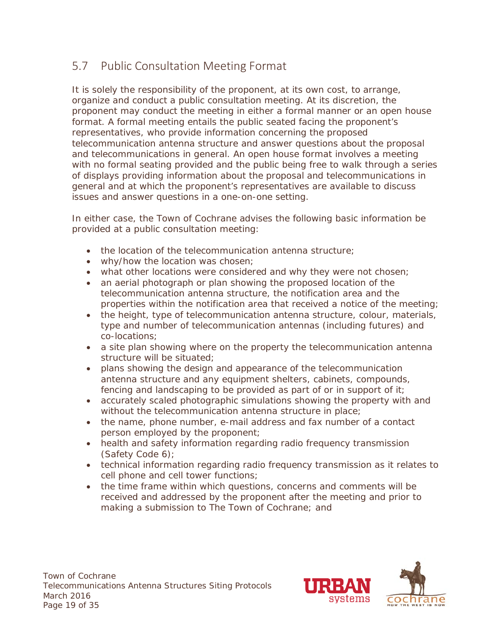# <span id="page-23-0"></span>5.7 Public Consultation Meeting Format

It is solely the responsibility of the proponent, at its own cost, to arrange, organize and conduct a public consultation meeting. At its discretion, the proponent may conduct the meeting in either a formal manner or an open house format. A formal meeting entails the public seated facing the proponent's representatives, who provide information concerning the proposed telecommunication antenna structure and answer questions about the proposal and telecommunications in general. An open house format involves a meeting with no formal seating provided and the public being free to walk through a series of displays providing information about the proposal and telecommunications in general and at which the proponent's representatives are available to discuss issues and answer questions in a one-on-one setting.

In either case, the Town of Cochrane advises the following basic information be provided at a public consultation meeting:

- the location of the telecommunication antenna structure;
- why/how the location was chosen;
- what other locations were considered and why they were not chosen;
- an aerial photograph or plan showing the proposed location of the telecommunication antenna structure, the notification area and the properties within the notification area that received a notice of the meeting;
- the height, type of telecommunication antenna structure, colour, materials, type and number of telecommunication antennas (including futures) and co-locations;
- a site plan showing where on the property the telecommunication antenna structure will be situated;
- plans showing the design and appearance of the telecommunication antenna structure and any equipment shelters, cabinets, compounds, fencing and landscaping to be provided as part of or in support of it;
- accurately scaled photographic simulations showing the property with and without the telecommunication antenna structure in place;
- the name, phone number, e-mail address and fax number of a contact person employed by the proponent;
- health and safety information regarding radio frequency transmission (Safety Code 6);
- technical information regarding radio frequency transmission as it relates to cell phone and cell tower functions;
- the time frame within which questions, concerns and comments will be received and addressed by the proponent after the meeting and prior to making a submission to The Town of Cochrane; and

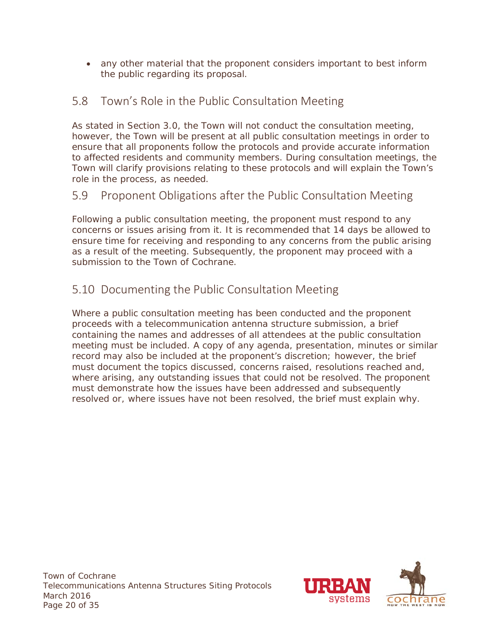• any other material that the proponent considers important to best inform the public regarding its proposal.

# <span id="page-24-0"></span>5.8 Town's Role in the Public Consultation Meeting

As stated in Section 3.0, the Town will not conduct the consultation meeting, however, the Town will be present at all public consultation meetings in order to ensure that all proponents follow the protocols and provide accurate information to affected residents and community members. During consultation meetings, the Town will clarify provisions relating to these protocols and will explain the Town's role in the process, as needed.

# <span id="page-24-1"></span>5.9 Proponent Obligations after the Public Consultation Meeting

Following a public consultation meeting, the proponent must respond to any concerns or issues arising from it. It is recommended that 14 days be allowed to ensure time for receiving and responding to any concerns from the public arising as a result of the meeting. Subsequently, the proponent may proceed with a submission to the Town of Cochrane.

# <span id="page-24-2"></span>5.10 Documenting the Public Consultation Meeting

Where a public consultation meeting has been conducted and the proponent proceeds with a telecommunication antenna structure submission, a brief containing the names and addresses of all attendees at the public consultation meeting must be included. A copy of any agenda, presentation, minutes or similar record may also be included at the proponent's discretion; however, the brief must document the topics discussed, concerns raised, resolutions reached and, where arising, any outstanding issues that could not be resolved. The proponent must demonstrate how the issues have been addressed and subsequently resolved or, where issues have not been resolved, the brief must explain why.

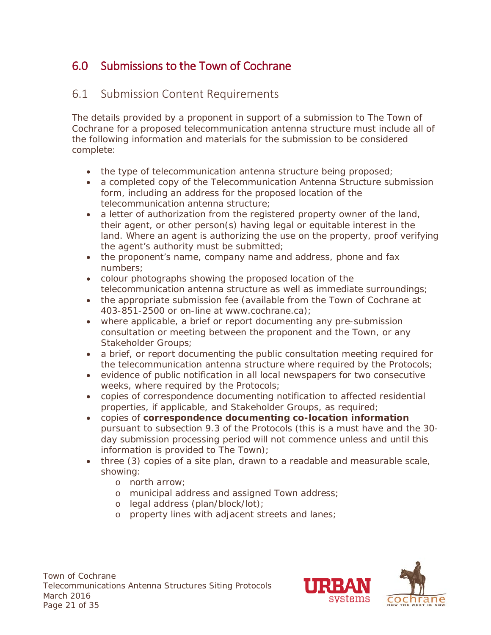# <span id="page-25-0"></span>6.0 Submissions to the Town of Cochrane

## <span id="page-25-1"></span>6.1 Submission Content Requirements

The details provided by a proponent in support of a submission to The Town of Cochrane for a proposed telecommunication antenna structure must include all of the following information and materials for the submission to be considered complete:

- the type of telecommunication antenna structure being proposed;
- a completed copy of the Telecommunication Antenna Structure submission form, including an address for the proposed location of the telecommunication antenna structure;
- a letter of authorization from the registered property owner of the land, their agent, or other person(s) having legal or equitable interest in the land. Where an agent is authorizing the use on the property, proof verifying the agent's authority must be submitted;
- the proponent's name, company name and address, phone and fax numbers;
- colour photographs showing the proposed location of the telecommunication antenna structure as well as immediate surroundings;
- the appropriate submission fee (available from the Town of Cochrane at 403-851-2500 or on-line at www.cochrane.ca);
- where applicable, a brief or report documenting any pre-submission consultation or meeting between the proponent and the Town, or any Stakeholder Groups;
- a brief, or report documenting the public consultation meeting required for the telecommunication antenna structure where required by the Protocols;
- evidence of public notification in all local newspapers for two consecutive weeks, where required by the Protocols;
- copies of correspondence documenting notification to affected residential properties, if applicable, and Stakeholder Groups, as required;
- copies of **correspondence documenting co-location information** pursuant to subsection 9.3 of the Protocols (this is a must have and the 30 day submission processing period will not commence unless and until this information is provided to The Town);
- three (3) copies of a site plan, drawn to a readable and measurable scale, showing:
	- o north arrow;
	- o municipal address and assigned Town address;
	- o legal address (plan/block/lot);
	- o property lines with adjacent streets and lanes;

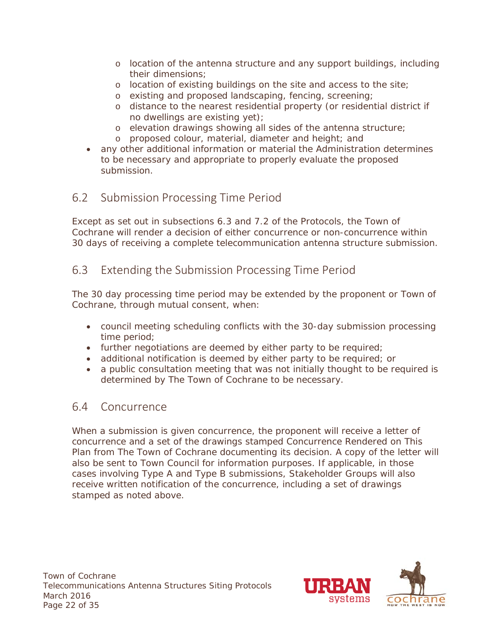- o location of the antenna structure and any support buildings, including their dimensions;
- o location of existing buildings on the site and access to the site;
- o existing and proposed landscaping, fencing, screening;
- o distance to the nearest residential property (or residential district if no dwellings are existing yet);
- o elevation drawings showing all sides of the antenna structure;
- o proposed colour, material, diameter and height; and
- any other additional information or material the Administration determines to be necessary and appropriate to properly evaluate the proposed submission.

# <span id="page-26-0"></span>6.2 Submission Processing Time Period

Except as set out in subsections 6.3 and 7.2 of the Protocols, the Town of Cochrane will render a decision of either concurrence or non-concurrence within 30 days of receiving a complete telecommunication antenna structure submission.

# <span id="page-26-1"></span>6.3 Extending the Submission Processing Time Period

The 30 day processing time period may be extended by the proponent or Town of Cochrane, through mutual consent, when:

- council meeting scheduling conflicts with the 30-day submission processing time period;
- further negotiations are deemed by either party to be required;
- additional notification is deemed by either party to be required; or
- a public consultation meeting that was not initially thought to be required is determined by The Town of Cochrane to be necessary.

#### <span id="page-26-2"></span>6.4 Concurrence

When a submission is given concurrence, the proponent will receive a letter of concurrence and a set of the drawings stamped *Concurrence Rendered on This Plan* from The Town of Cochrane documenting its decision. A copy of the letter will also be sent to Town Council for information purposes. If applicable, in those cases involving Type A and Type B submissions, Stakeholder Groups will also receive written notification of the concurrence, including a set of drawings stamped as noted above.

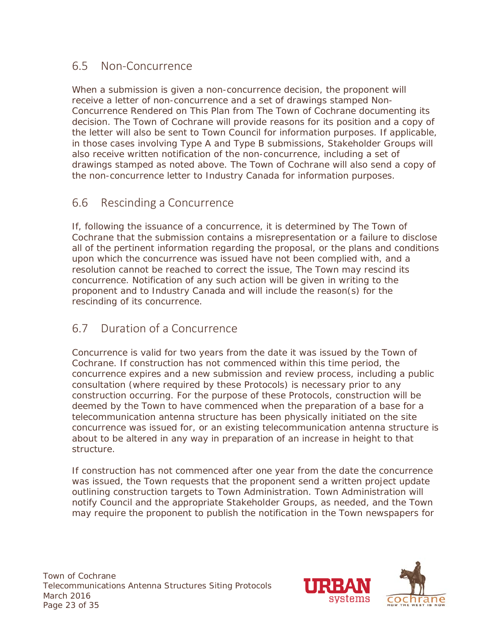#### <span id="page-27-0"></span>6.5 Non-Concurrence

When a submission is given a non-concurrence decision, the proponent will receive a letter of non-concurrence and a set of drawings stamped *Non-Concurrence Rendered on This Plan* from The Town of Cochrane documenting its decision. The Town of Cochrane will provide reasons for its position and a copy of the letter will also be sent to Town Council for information purposes. If applicable, in those cases involving Type A and Type B submissions, Stakeholder Groups will also receive written notification of the non-concurrence, including a set of drawings stamped as noted above. The Town of Cochrane will also send a copy of the non-concurrence letter to Industry Canada for information purposes.

#### <span id="page-27-1"></span>6.6 Rescinding a Concurrence

If, following the issuance of a concurrence, it is determined by The Town of Cochrane that the submission contains a misrepresentation or a failure to disclose all of the pertinent information regarding the proposal, or the plans and conditions upon which the concurrence was issued have not been complied with, and a resolution cannot be reached to correct the issue, The Town may rescind its concurrence. Notification of any such action will be given in writing to the proponent and to Industry Canada and will include the reason(s) for the rescinding of its concurrence.

#### <span id="page-27-2"></span>6.7 Duration of a Concurrence

Concurrence is valid for two years from the date it was issued by the Town of Cochrane. If construction has not commenced within this time period, the concurrence expires and a new submission and review process, including a public consultation (where required by these Protocols) is necessary prior to any construction occurring. For the purpose of these Protocols, construction will be deemed by the Town to have commenced when the preparation of a base for a telecommunication antenna structure has been physically initiated on the site concurrence was issued for, or an existing telecommunication antenna structure is about to be altered in any way in preparation of an increase in height to that structure.

If construction has not commenced after one year from the date the concurrence was issued, the Town requests that the proponent send a written project update outlining construction targets to Town Administration. Town Administration will notify Council and the appropriate Stakeholder Groups, as needed, and the Town may require the proponent to publish the notification in the Town newspapers for

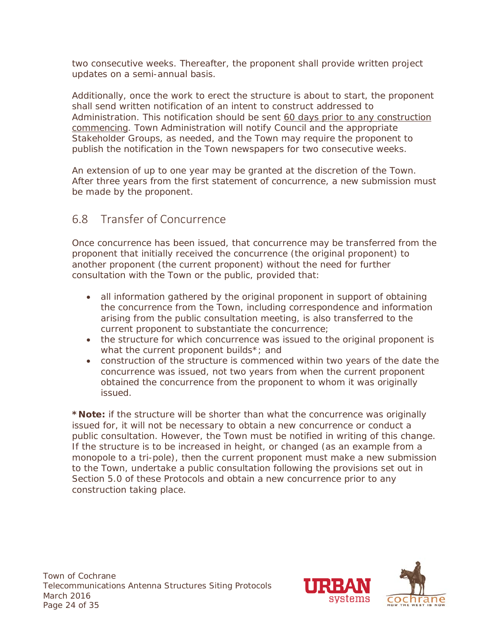two consecutive weeks. Thereafter, the proponent shall provide written project updates on a semi-annual basis.

Additionally, once the work to erect the structure is about to start, the proponent shall send written notification of an intent to construct addressed to Administration. This notification should be sent 60 days prior to any construction commencing. Town Administration will notify Council and the appropriate Stakeholder Groups, as needed, and the Town may require the proponent to publish the notification in the Town newspapers for two consecutive weeks.

An extension of up to one year may be granted at the discretion of the Town. After three years from the first statement of concurrence, a new submission must be made by the proponent.

## <span id="page-28-0"></span>6.8 Transfer of Concurrence

Once concurrence has been issued, that concurrence may be transferred from the proponent that initially received the concurrence (the original proponent) to another proponent (the current proponent) without the need for further consultation with the Town or the public, provided that:

- all information gathered by the original proponent in support of obtaining the concurrence from the Town, including correspondence and information arising from the public consultation meeting, is also transferred to the current proponent to substantiate the concurrence;
- the structure for which concurrence was issued to the original proponent is what the current proponent builds\*; and
- construction of the structure is commenced within two years of the date the concurrence was issued, not two years from when the current proponent obtained the concurrence from the proponent to whom it was originally issued.

**\*Note:** if the structure will be shorter than what the concurrence was originally issued for, it will not be necessary to obtain a new concurrence or conduct a public consultation. However, the Town must be notified in writing of this change. If the structure is to be increased in height, or changed (as an example from a monopole to a tri-pole), then the current proponent must make a new submission to the Town, undertake a public consultation following the provisions set out in Section 5.0 of these Protocols and obtain a new concurrence prior to any construction taking place.

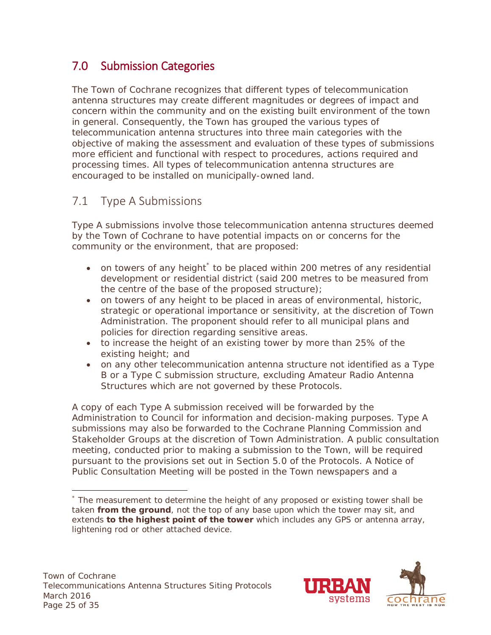# <span id="page-29-0"></span>7.0 Submission Categories

The Town of Cochrane recognizes that different types of telecommunication antenna structures may create different magnitudes or degrees of impact and concern within the community and on the existing built environment of the town in general. Consequently, the Town has grouped the various types of telecommunication antenna structures into three main categories with the objective of making the assessment and evaluation of these types of submissions more efficient and functional with respect to procedures, actions required and processing times. All types of telecommunication antenna structures are encouraged to be installed on municipally-owned land.

# <span id="page-29-1"></span>7.1 Type A Submissions

Type A submissions involve those telecommunication antenna structures deemed by the Town of Cochrane to have potential impacts on or concerns for the community or the environment, that are proposed:

- on towers of any height  $\check{\phantom{\phi}}$  to be placed within 200 metres of any residential development or residential district (said 200 metres to be measured from the centre of the base of the proposed structure);
- on towers of any height to be placed in areas of environmental, historic, strategic or operational importance or sensitivity, at the discretion of Town Administration. The proponent should refer to all municipal plans and policies for direction regarding sensitive areas.
- to increase the height of an existing tower by more than 25% of the existing height; and
- on any other telecommunication antenna structure not identified as a Type B or a Type C submission structure, excluding Amateur Radio Antenna Structures which are not governed by these Protocols.

A copy of each Type A submission received will be forwarded by the Administration to Council for information and decision-making purposes. Type A submissions may also be forwarded to the Cochrane Planning Commission and Stakeholder Groups at the discretion of Town Administration. A public consultation meeting, conducted prior to making a submission to the Town, will be required pursuant to the provisions set out in Section 5.0 of the Protocols. A Notice of Public Consultation Meeting will be posted in the Town newspapers and a



<span id="page-29-2"></span> $\overline{a}$ \* The measurement to determine the height of any proposed or existing tower shall be taken **from the ground**, not the top of any base upon which the tower may sit, and extends **to the highest point of the tower** which includes any GPS or antenna array, lightening rod or other attached device.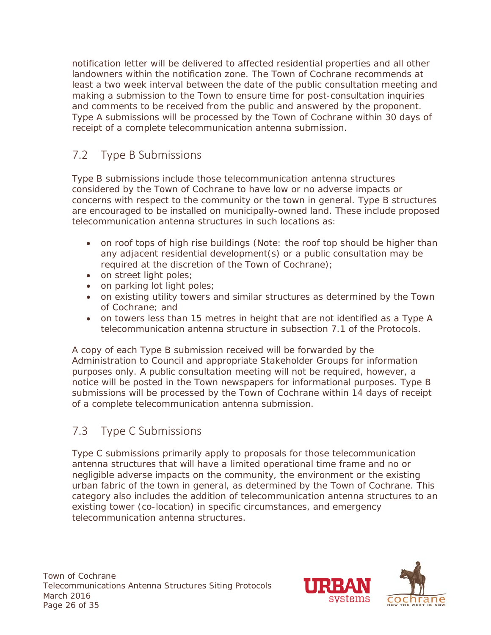notification letter will be delivered to affected residential properties and all other landowners within the notification zone. The Town of Cochrane recommends at least a two week interval between the date of the public consultation meeting and making a submission to the Town to ensure time for post-consultation inquiries and comments to be received from the public and answered by the proponent. Type A submissions will be processed by the Town of Cochrane within 30 days of receipt of a complete telecommunication antenna submission.

# <span id="page-30-0"></span>7.2 Type B Submissions

Type B submissions include those telecommunication antenna structures considered by the Town of Cochrane to have low or no adverse impacts or concerns with respect to the community or the town in general. Type B structures are encouraged to be installed on municipally-owned land. These include proposed telecommunication antenna structures in such locations as:

- on roof tops of high rise buildings (Note: the roof top should be higher than any adjacent residential development(s) or a public consultation may be required at the discretion of the Town of Cochrane);
- on street light poles;
- on parking lot light poles;
- on existing utility towers and similar structures as determined by the Town of Cochrane; and
- on towers less than 15 metres in height that are not identified as a Type A telecommunication antenna structure in subsection 7.1 of the Protocols.

A copy of each Type B submission received will be forwarded by the Administration to Council and appropriate Stakeholder Groups for information purposes only. A public consultation meeting will not be required, however, a notice will be posted in the Town newspapers for informational purposes. Type B submissions will be processed by the Town of Cochrane within 14 days of receipt of a complete telecommunication antenna submission.

#### <span id="page-30-1"></span>7.3 Type C Submissions

Type C submissions primarily apply to proposals for those telecommunication antenna structures that will have a limited operational time frame and no or negligible adverse impacts on the community, the environment or the existing urban fabric of the town in general, as determined by the Town of Cochrane. This category also includes the addition of telecommunication antenna structures to an existing tower (co-location) in specific circumstances, and emergency telecommunication antenna structures.

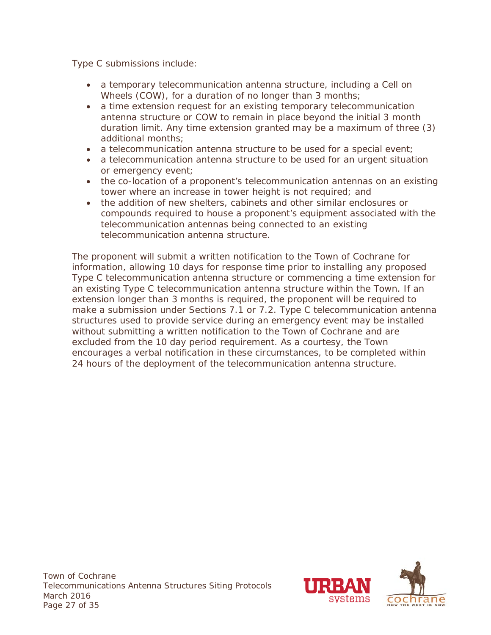Type C submissions include:

- a temporary telecommunication antenna structure, including a Cell on Wheels (COW), for a duration of no longer than 3 months;
- a time extension request for an existing temporary telecommunication antenna structure or COW to remain in place beyond the initial 3 month duration limit. Any time extension granted may be a maximum of three (3) additional months;
- a telecommunication antenna structure to be used for a special event;
- a telecommunication antenna structure to be used for an urgent situation or emergency event;
- the co-location of a proponent's telecommunication antennas on an existing tower where an increase in tower height is not required; and
- the addition of new shelters, cabinets and other similar enclosures or compounds required to house a proponent's equipment associated with the telecommunication antennas being connected to an existing telecommunication antenna structure.

The proponent will submit a written notification to the Town of Cochrane for information, allowing 10 days for response time prior to installing any proposed Type C telecommunication antenna structure or commencing a time extension for an existing Type C telecommunication antenna structure within the Town. If an extension longer than 3 months is required, the proponent will be required to make a submission under Sections 7.1 or 7.2. Type C telecommunication antenna structures used to provide service during an emergency event may be installed without submitting a written notification to the Town of Cochrane and are excluded from the 10 day period requirement. As a courtesy, the Town encourages a verbal notification in these circumstances, to be completed within 24 hours of the deployment of the telecommunication antenna structure.

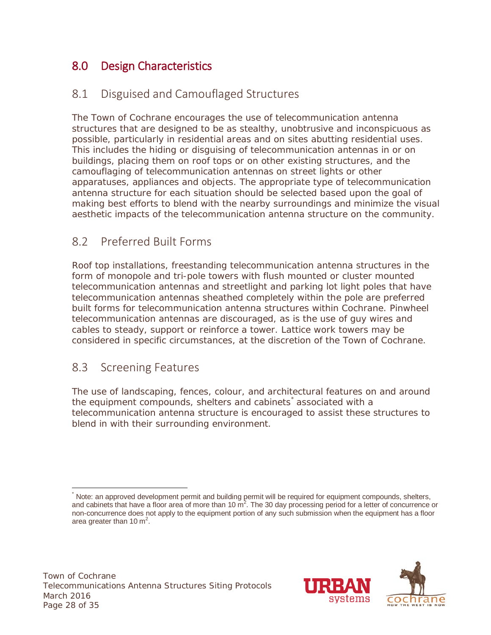# <span id="page-32-0"></span>8.0 Design Characteristics

# <span id="page-32-1"></span>8.1 Disguised and Camouflaged Structures

The Town of Cochrane encourages the use of telecommunication antenna structures that are designed to be as stealthy, unobtrusive and inconspicuous as possible, particularly in residential areas and on sites abutting residential uses. This includes the hiding or disguising of telecommunication antennas in or on buildings, placing them on roof tops or on other existing structures, and the camouflaging of telecommunication antennas on street lights or other apparatuses, appliances and objects. The appropriate type of telecommunication antenna structure for each situation should be selected based upon the goal of making best efforts to blend with the nearby surroundings and minimize the visual aesthetic impacts of the telecommunication antenna structure on the community.

# <span id="page-32-2"></span>8.2 Preferred Built Forms

Roof top installations, freestanding telecommunication antenna structures in the form of monopole and tri-pole towers with flush mounted or cluster mounted telecommunication antennas and streetlight and parking lot light poles that have telecommunication antennas sheathed completely within the pole are preferred built forms for telecommunication antenna structures within Cochrane. Pinwheel telecommunication antennas are discouraged, as is the use of guy wires and cables to steady, support or reinforce a tower. Lattice work towers may be considered in specific circumstances, at the discretion of the Town of Cochrane.

#### <span id="page-32-3"></span>8.3 Screening Features

The use of landscaping, fences, colour, and architectural features on and around the equipment compounds, shelters and cabinets<sup>\*</sup> associated with a telecommunication antenna structure is encouraged to assist these structures to blend in with their surrounding environment.



<span id="page-32-4"></span>Note: an approved development permit and building permit will be required for equipment compounds, shelters, and cabinets that have a floor area of more than 10  $m^2$ . The 30 day processing period for a letter of concurrence or non-concurrence does not apply to the equipment portion of any such submission when the equipment has a floor area greater than 10  $m^2$ .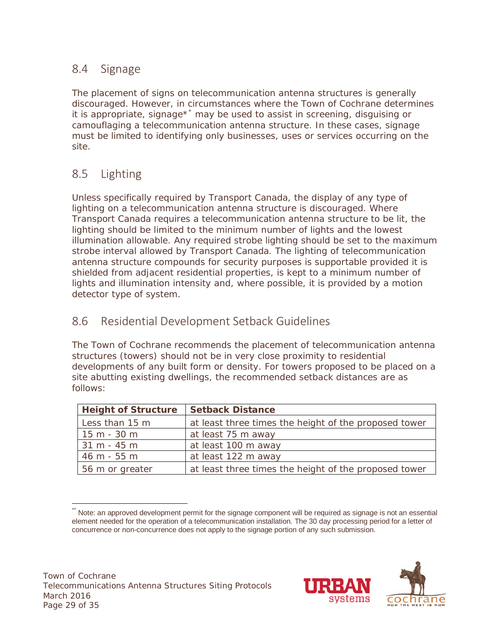# <span id="page-33-0"></span>8.4 Signage

The placement of signs on telecommunication antenna structures is generally discouraged. However, in circumstances where the Town of Cochrane determines it is appropriate, signage[\\*](#page-33-3)\* may be used to assist in screening, disguising or camouflaging a telecommunication antenna structure. In these cases, signage must be limited to identifying only businesses, uses or services occurring on the site.

# <span id="page-33-1"></span>8.5 Lighting

Unless specifically required by Transport Canada, the display of any type of lighting on a telecommunication antenna structure is discouraged. Where Transport Canada requires a telecommunication antenna structure to be lit, the lighting should be limited to the minimum number of lights and the lowest illumination allowable. Any required strobe lighting should be set to the maximum strobe interval allowed by Transport Canada. The lighting of telecommunication antenna structure compounds for security purposes is supportable provided it is shielded from adjacent residential properties, is kept to a minimum number of lights and illumination intensity and, where possible, it is provided by a motion detector type of system.

### <span id="page-33-2"></span>8.6 Residential Development Setback Guidelines

The Town of Cochrane recommends the placement of telecommunication antenna structures (towers) should not be in very close proximity to residential developments of any built form or density. For towers proposed to be placed on a site abutting existing dwellings, the recommended setback distances are as follows:

| <b>Height of Structure</b> | <b>Setback Distance</b>                               |
|----------------------------|-------------------------------------------------------|
| Less than 15 m             | at least three times the height of the proposed tower |
| $15 m - 30 m$              | at least 75 m away                                    |
| $31 m - 45 m$              | at least 100 m away                                   |
| 46 m - 55 m                | at least 122 m away                                   |
| 56 m or greater            | at least three times the height of the proposed tower |

<span id="page-33-3"></span>Note: an approved development permit for the signage component will be required as signage is not an essential element needed for the operation of a telecommunication installation. The 30 day processing period for a letter of concurrence or non-concurrence does not apply to the signage portion of any such submission.

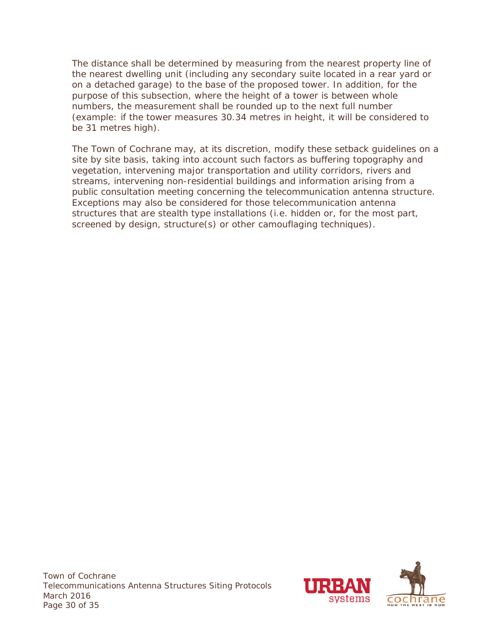The distance shall be determined by measuring from the nearest property line of the nearest dwelling unit (including any secondary suite located in a rear yard or on a detached garage) to the base of the proposed tower. In addition, for the purpose of this subsection, where the height of a tower is between whole numbers, the measurement shall be rounded up to the next full number (example: if the tower measures 30.34 metres in height, it will be considered to be 31 metres high).

The Town of Cochrane may, at its discretion, modify these setback guidelines on a site by site basis, taking into account such factors as buffering topography and vegetation, intervening major transportation and utility corridors, rivers and streams, intervening non-residential buildings and information arising from a public consultation meeting concerning the telecommunication antenna structure. Exceptions may also be considered for those telecommunication antenna structures that are stealth type installations (i.e. hidden or, for the most part, screened by design, structure(s) or other camouflaging techniques).

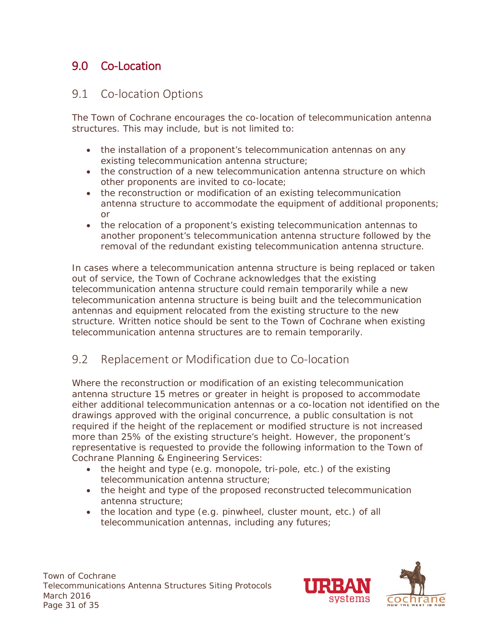# <span id="page-35-0"></span>9.0 Co-Location

#### <span id="page-35-1"></span>9.1 Co-location Options

The Town of Cochrane encourages the co-location of telecommunication antenna structures. This may include, but is not limited to:

- the installation of a proponent's telecommunication antennas on any existing telecommunication antenna structure;
- the construction of a new telecommunication antenna structure on which other proponents are invited to co-locate;
- the reconstruction or modification of an existing telecommunication antenna structure to accommodate the equipment of additional proponents; or
- the relocation of a proponent's existing telecommunication antennas to another proponent's telecommunication antenna structure followed by the removal of the redundant existing telecommunication antenna structure.

In cases where a telecommunication antenna structure is being replaced or taken out of service, the Town of Cochrane acknowledges that the existing telecommunication antenna structure could remain temporarily while a new telecommunication antenna structure is being built and the telecommunication antennas and equipment relocated from the existing structure to the new structure. Written notice should be sent to the Town of Cochrane when existing telecommunication antenna structures are to remain temporarily.

#### <span id="page-35-2"></span>9.2 Replacement or Modification due to Co-location

Where the reconstruction or modification of an existing telecommunication antenna structure 15 metres or greater in height is proposed to accommodate either additional telecommunication antennas or a co-location not identified on the drawings approved with the original concurrence, a public consultation is not required if the height of the replacement or modified structure is not increased more than 25% of the existing structure's height. However, the proponent's representative is requested to provide the following information to the Town of Cochrane Planning & Engineering Services:

- the height and type (e.g. monopole, tri-pole, etc.) of the existing telecommunication antenna structure;
- the height and type of the proposed reconstructed telecommunication antenna structure;
- the location and type (e.g. pinwheel, cluster mount, etc.) of all telecommunication antennas, including any futures;

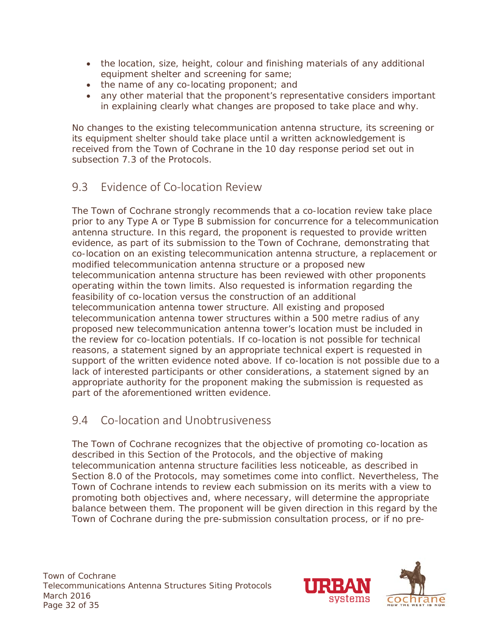- the location, size, height, colour and finishing materials of any additional equipment shelter and screening for same;
- the name of any co-locating proponent; and
- any other material that the proponent's representative considers important in explaining clearly what changes are proposed to take place and why.

No changes to the existing telecommunication antenna structure, its screening or its equipment shelter should take place until a written acknowledgement is received from the Town of Cochrane in the 10 day response period set out in subsection 7.3 of the Protocols.

#### <span id="page-36-0"></span>9.3 Evidence of Co-location Review

The Town of Cochrane strongly recommends that a co-location review take place prior to any Type A or Type B submission for concurrence for a telecommunication antenna structure. In this regard, the proponent is requested to provide written evidence, as part of its submission to the Town of Cochrane, demonstrating that co-location on an existing telecommunication antenna structure, a replacement or modified telecommunication antenna structure or a proposed new telecommunication antenna structure has been reviewed with other proponents operating within the town limits. Also requested is information regarding the feasibility of co-location versus the construction of an additional telecommunication antenna tower structure. All existing and proposed telecommunication antenna tower structures within a 500 metre radius of any proposed new telecommunication antenna tower's location must be included in the review for co-location potentials. If co-location is not possible for technical reasons, a statement signed by an appropriate technical expert is requested in support of the written evidence noted above. If co-location is not possible due to a lack of interested participants or other considerations, a statement signed by an appropriate authority for the proponent making the submission is requested as part of the aforementioned written evidence.

#### <span id="page-36-1"></span>9.4 Co-location and Unobtrusiveness

The Town of Cochrane recognizes that the objective of promoting co-location as described in this Section of the Protocols, and the objective of making telecommunication antenna structure facilities less noticeable, as described in Section 8.0 of the Protocols, may sometimes come into conflict. Nevertheless, The Town of Cochrane intends to review each submission on its merits with a view to promoting both objectives and, where necessary, will determine the appropriate balance between them. The proponent will be given direction in this regard by the Town of Cochrane during the pre-submission consultation process, or if no pre-

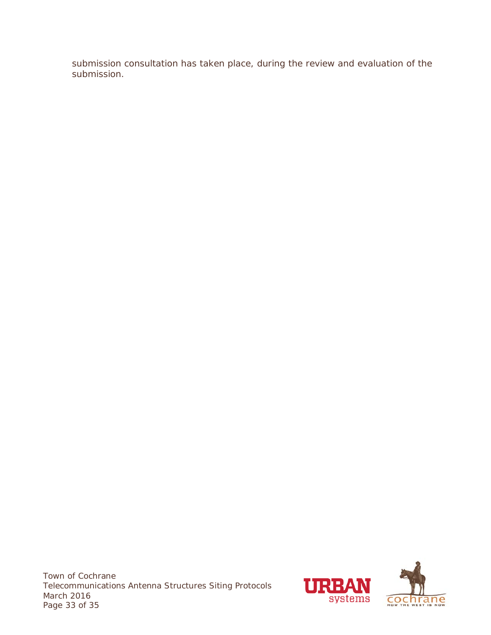submission consultation has taken place, during the review and evaluation of the submission.

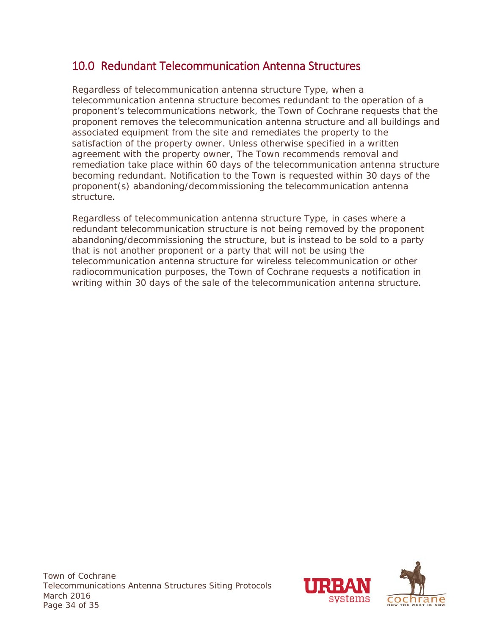# <span id="page-38-0"></span>10.0 Redundant Telecommunication Antenna Structures

Regardless of telecommunication antenna structure Type, when a telecommunication antenna structure becomes redundant to the operation of a proponent's telecommunications network, the Town of Cochrane requests that the proponent removes the telecommunication antenna structure and all buildings and associated equipment from the site and remediates the property to the satisfaction of the property owner. Unless otherwise specified in a written agreement with the property owner, The Town recommends removal and remediation take place within 60 days of the telecommunication antenna structure becoming redundant. Notification to the Town is requested within 30 days of the proponent(s) abandoning/decommissioning the telecommunication antenna structure.

Regardless of telecommunication antenna structure Type, in cases where a redundant telecommunication structure is not being removed by the proponent abandoning/decommissioning the structure, but is instead to be sold to a party that is not another proponent or a party that will not be using the telecommunication antenna structure for wireless telecommunication or other radiocommunication purposes, the Town of Cochrane requests a notification in writing within 30 days of the sale of the telecommunication antenna structure.

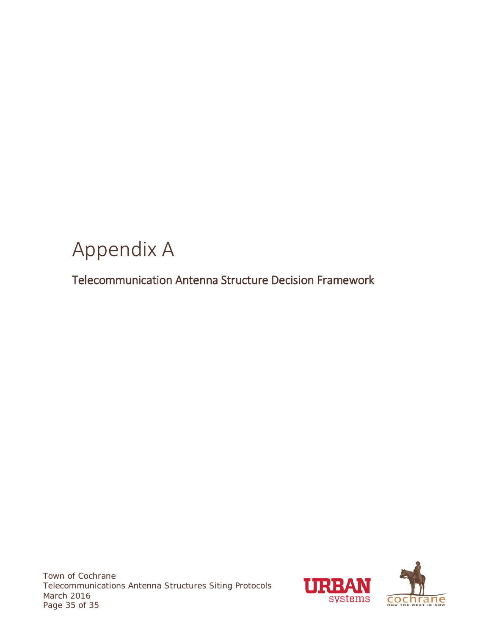# <span id="page-39-0"></span>Appendix A

<span id="page-39-1"></span>Telecommunication Antenna Structure Decision Framework